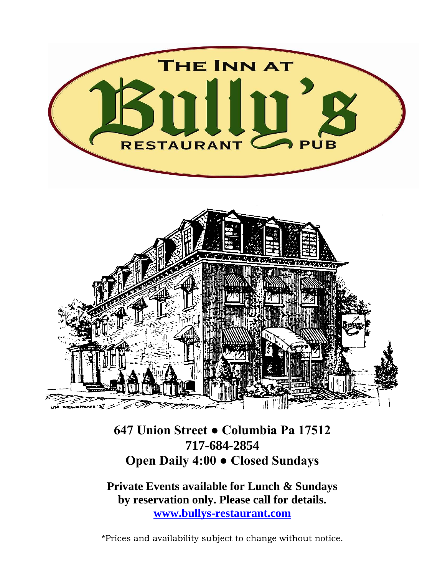

## **647 Union Street ● Columbia Pa 17512 717-684-2854 Open Daily 4:00 ● Closed Sundays**

**Private Events available for Lunch & Sundays by reservation only. Please call for details. [www.bullys-restaurant.com](http://www.bullys-restaurant.com/)**

\*Prices and availability subject to change without notice.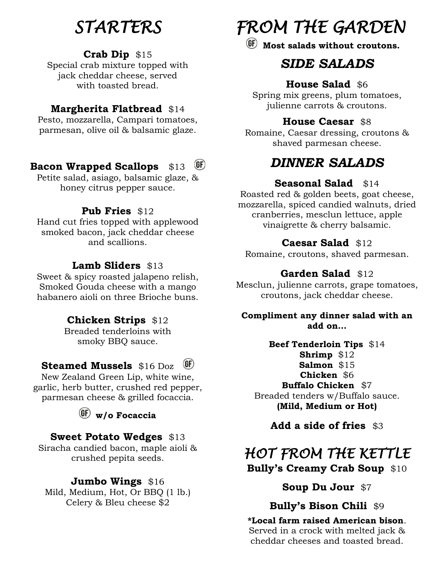## *STARTERS*

### **Crab Dip** \$15

Special crab mixture topped with jack cheddar cheese, served with toasted bread.

### **Margherita Flatbread** \$14

Pesto, mozzarella, Campari tomatoes, parmesan, olive oil & balsamic glaze.

#### $GF)$ **Bacon Wrapped Scallops** \$13

Petite salad, asiago, balsamic glaze, & honey citrus pepper sauce.

### **Pub Fries** \$12

Hand cut fries topped with applewood smoked bacon, jack cheddar cheese and scallions.

### **Lamb Sliders** \$13

Sweet & spicy roasted jalapeno relish, Smoked Gouda cheese with a mango habanero aioli on three Brioche buns.

### **Chicken Strips** \$12

Breaded tenderloins with smoky BBQ sauce.

#### $(F)$ **Steamed Mussels** \$16 Doz

New Zealand Green Lip, white wine, garlic, herb butter, crushed red pepper, parmesan cheese & grilled focaccia.

**w/o Focaccia**

### **Sweet Potato Wedges** \$13

Siracha candied bacon, maple aioli & crushed pepita seeds.

#### **Jumbo Wings** \$16

Mild, Medium, Hot, Or BBQ (1 lb.) Celery & Bleu cheese \$2

# *FROM THE GARDEN*

**Most salads without croutons.**

## *SIDE SALADS*

### **House Salad** \$6

Spring mix greens, plum tomatoes, julienne carrots & croutons.

### **House Caesar** \$8

Romaine, Caesar dressing, croutons & shaved parmesan cheese.

## *DINNER SALADS*

### **Seasonal Salad** \$14

Roasted red & golden beets, goat cheese, mozzarella, spiced candied walnuts, dried cranberries, mesclun lettuce, apple vinaigrette & cherry balsamic.

### **Caesar Salad** \$12

Romaine, croutons, shaved parmesan.

### **Garden Salad** \$12

Mesclun, julienne carrots, grape tomatoes, croutons, jack cheddar cheese.

**Compliment any dinner salad with an add on…**

**Beef Tenderloin Tips** \$14 **Shrimp** \$12 **Salmon** \$15 **Chicken** \$6 **Buffalo Chicken** \$7 Breaded tenders w/Buffalo sauce. **(Mild, Medium or Hot)**

**Add a side of fries** \$3

## *HOT FROM THE KETTLE*  **Bully's Creamy Crab Soup** \$10

### **Soup Du Jour** \$7

### **Bully's Bison Chili** \$9

**\*Local farm raised American bison**. Served in a crock with melted jack & cheddar cheeses and toasted bread.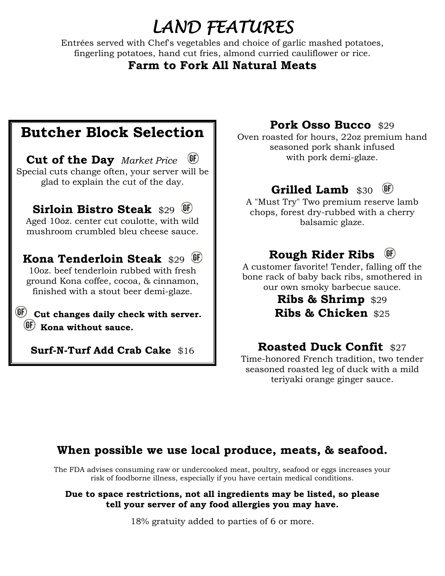## *LAND FEATURES*

Entrées served with Chef's vegetables and choice of garlic mashed potatoes, fingerling potatoes, hand cut fries, almond curried cauliflower or rice.

### **Farm to Fork All Natural Meats**

## **Butcher Block Selection**

**Cut of the Day** *Market Price* Special cuts change often, your server will be glad to explain the cut of the day.

**Sirloin Bistro Steak** \$29 Aged 10oz. center cut coulotte, with wild mushroom crumbled bleu cheese sauce.

## **Kona Tenderloin Steak** \$29

10oz. beef tenderloin rubbed with fresh ground Kona coffee, cocoa, & cinnamon, finished with a stout beer demi-glaze.

**Cut changes daily check with server. Kona without sauce.**

**Surf-N-Turf Add Crab Cake** \$16

### **Pork Osso Bucco** \$29

Oven roasted for hours, 22oz premium hand seasoned pork shank infused with pork demi-glaze.

#### Grilled Lamb \$30 (GF)

A "Must Try" Two premium reserve lamb chops, forest dry-rubbed with a cherry balsamic glaze.

#### **Rough Rider Ribs**   $(GF)$

A customer favorite! Tender, falling off the bone rack of baby back ribs, smothered in our own smoky barbecue sauce.

> **Ribs & Shrimp** \$29 **Ribs & Chicken** \$25

### **Roasted Duck Confit \$27**

Time-honored French tradition, two tender seasoned roasted leg of duck with a mild teriyaki orange ginger sauce.

### **When possible we use local produce, meats, & seafood.**

The FDA advises consuming raw or undercooked meat, poultry, seafood or eggs increases your risk of foodborne illness, especially if you have certain medical conditions.

#### **Due to space restrictions, not all ingredients may be listed, so please tell your server of any food allergies you may have.**

18% gratuity added to parties of 6 or more.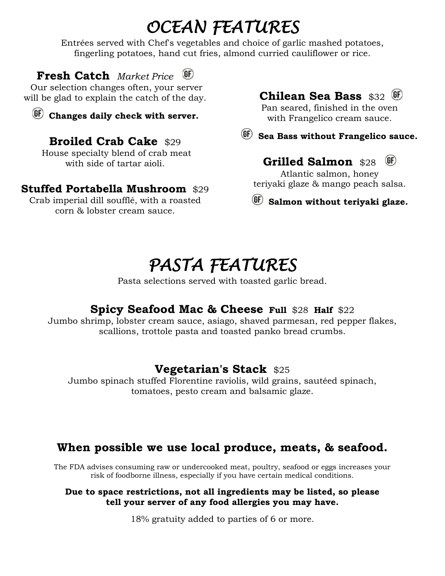# *OCEAN FEATURES*

Entrées served with Chef's vegetables and choice of garlic mashed potatoes, fingerling potatoes, hand cut fries, almond curried cauliflower or rice.

**Fresh Catch** *Market Price*

Our selection changes often, your server will be glad to explain the catch of the day.

**Changes daily check with server.**

## **Broiled Crab Cake** \$29

House specialty blend of crab meat with side of tartar aioli.

### **Stuffed Portabella Mushroom** \$29

Crab imperial dill soufflé, with a roasted corn & lobster cream sauce.

### **Chilean Sea Bass** \$32

Pan seared, finished in the oven with Frangelico cream sauce.

 **Sea Bass without Frangelico sauce.**

## Grilled Salmon \$28 <sup>(GF)</sup>

Atlantic salmon, honey teriyaki glaze & mango peach salsa.

**Salmon without teriyaki glaze.**

## *PASTA FEATURES*

Pasta selections served with toasted garlic bread.

### **Spicy Seafood Mac & Cheese Full** \$28 **Half** \$22

Jumbo shrimp, lobster cream sauce, asiago, shaved parmesan, red pepper flakes, scallions, trottole pasta and toasted panko bread crumbs.

## **Vegetarian's Stack** \$25

Jumbo spinach stuffed Florentine raviolis, wild grains, sautéed spinach, tomatoes, pesto cream and balsamic glaze.

## **When possible we use local produce, meats, & seafood.**

The FDA advises consuming raw or undercooked meat, poultry, seafood or eggs increases your risk of foodborne illness, especially if you have certain medical conditions.

#### **Due to space restrictions, not all ingredients may be listed, so please tell your server of any food allergies you may have.**

18% gratuity added to parties of 6 or more.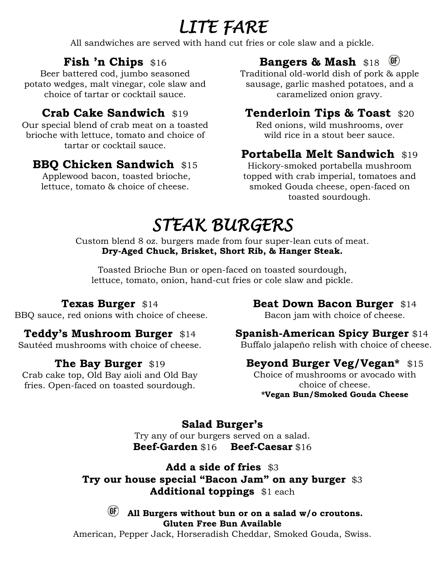# *LITE FARE*

All sandwiches are served with hand cut fries or cole slaw and a pickle.

## **Fish 'n Chips** \$16

Beer battered cod, jumbo seasoned potato wedges, malt vinegar, cole slaw and choice of tartar or cocktail sauce.

## **Crab Cake Sandwich** \$19

Our special blend of crab meat on a toasted brioche with lettuce, tomato and choice of tartar or cocktail sauce.

## **BBQ Chicken Sandwich \$15**

Applewood bacon, toasted brioche, lettuce, tomato & choice of cheese.

## **Bangers & Mash** \$18

Traditional old-world dish of pork & apple sausage, garlic mashed potatoes, and a caramelized onion gravy.

## **Tenderloin Tips & Toast** \$20

Red onions, wild mushrooms, over wild rice in a stout beer sauce.

## **Portabella Melt Sandwich \$19**

Hickory-smoked portabella mushroom topped with crab imperial, tomatoes and smoked Gouda cheese, open-faced on toasted sourdough.

# *STEAK BURGERS*

Custom blend 8 oz. burgers made from four super-lean cuts of meat. **Dry-Aged Chuck, Brisket, Short Rib, & Hanger Steak.** 

Toasted Brioche Bun or open-faced on toasted sourdough, lettuce, tomato, onion, hand-cut fries or cole slaw and pickle.

### **Texas Burger** \$14

BBQ sauce, red onions with choice of cheese.

## **Teddy's Mushroom Burger** \$14

Sautéed mushrooms with choice of cheese.

### **The Bay Burger** \$19

Crab cake top, Old Bay aioli and Old Bay fries. Open-faced on toasted sourdough.

## **Beat Down Bacon Burger** \$14

Bacon jam with choice of cheese.

### **Spanish-American Spicy Burger** \$14

Buffalo jalapeño relish with choice of cheese.

## **Beyond Burger Veg/Vegan\*** \$15

Choice of mushrooms or avocado with choice of cheese. **\*Vegan Bun/Smoked Gouda Cheese**

### **Salad Burger's**

Try any of our burgers served on a salad. **Beef-Garden** \$16 **Beef-Caesar** \$16

**Add a side of fries** \$3 **Try our house special "Bacon Jam" on any burger** \$3 **Additional toppings** \$1 each

### **All Burgers without bun or on a salad w/o croutons. Gluten Free Bun Available**

American, Pepper Jack, Horseradish Cheddar, Smoked Gouda, Swiss.